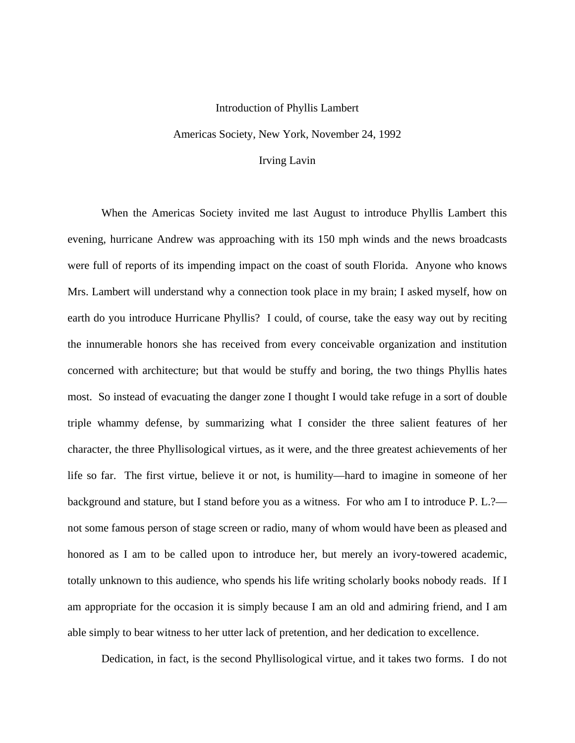## Introduction of Phyllis Lambert

Americas Society, New York, November 24, 1992

## Irving Lavin

 When the Americas Society invited me last August to introduce Phyllis Lambert this evening, hurricane Andrew was approaching with its 150 mph winds and the news broadcasts were full of reports of its impending impact on the coast of south Florida. Anyone who knows Mrs. Lambert will understand why a connection took place in my brain; I asked myself, how on earth do you introduce Hurricane Phyllis? I could, of course, take the easy way out by reciting the innumerable honors she has received from every conceivable organization and institution concerned with architecture; but that would be stuffy and boring, the two things Phyllis hates most. So instead of evacuating the danger zone I thought I would take refuge in a sort of double triple whammy defense, by summarizing what I consider the three salient features of her character, the three Phyllisological virtues, as it were, and the three greatest achievements of her life so far. The first virtue, believe it or not, is humility—hard to imagine in someone of her background and stature, but I stand before you as a witness. For who am I to introduce P. L.? not some famous person of stage screen or radio, many of whom would have been as pleased and honored as I am to be called upon to introduce her, but merely an ivory-towered academic, totally unknown to this audience, who spends his life writing scholarly books nobody reads. If I am appropriate for the occasion it is simply because I am an old and admiring friend, and I am able simply to bear witness to her utter lack of pretention, and her dedication to excellence.

Dedication, in fact, is the second Phyllisological virtue, and it takes two forms. I do not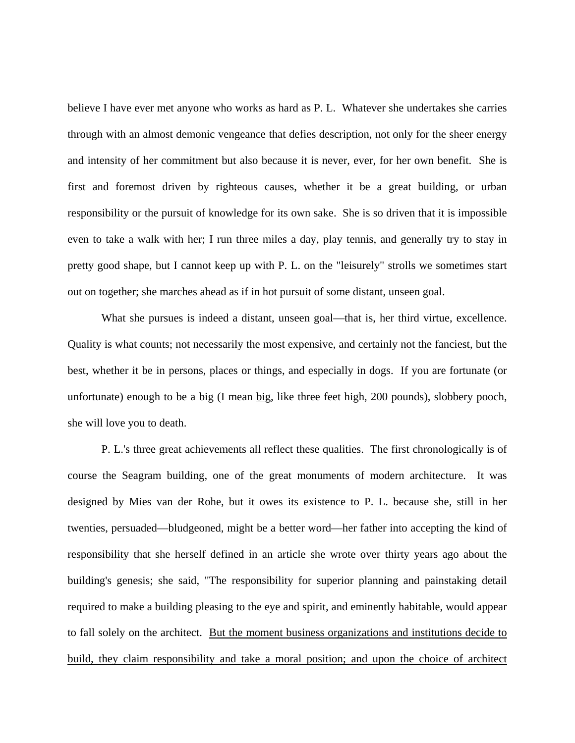believe I have ever met anyone who works as hard as P. L. Whatever she undertakes she carries through with an almost demonic vengeance that defies description, not only for the sheer energy and intensity of her commitment but also because it is never, ever, for her own benefit. She is first and foremost driven by righteous causes, whether it be a great building, or urban responsibility or the pursuit of knowledge for its own sake. She is so driven that it is impossible even to take a walk with her; I run three miles a day, play tennis, and generally try to stay in pretty good shape, but I cannot keep up with P. L. on the "leisurely" strolls we sometimes start out on together; she marches ahead as if in hot pursuit of some distant, unseen goal.

What she pursues is indeed a distant, unseen goal—that is, her third virtue, excellence. Quality is what counts; not necessarily the most expensive, and certainly not the fanciest, but the best, whether it be in persons, places or things, and especially in dogs. If you are fortunate (or unfortunate) enough to be a big (I mean big, like three feet high, 200 pounds), slobbery pooch, she will love you to death.

 P. L.'s three great achievements all reflect these qualities. The first chronologically is of course the Seagram building, one of the great monuments of modern architecture. It was designed by Mies van der Rohe, but it owes its existence to P. L. because she, still in her twenties, persuaded—bludgeoned, might be a better word—her father into accepting the kind of responsibility that she herself defined in an article she wrote over thirty years ago about the building's genesis; she said, "The responsibility for superior planning and painstaking detail required to make a building pleasing to the eye and spirit, and eminently habitable, would appear to fall solely on the architect. But the moment business organizations and institutions decide to build, they claim responsibility and take a moral position; and upon the choice of architect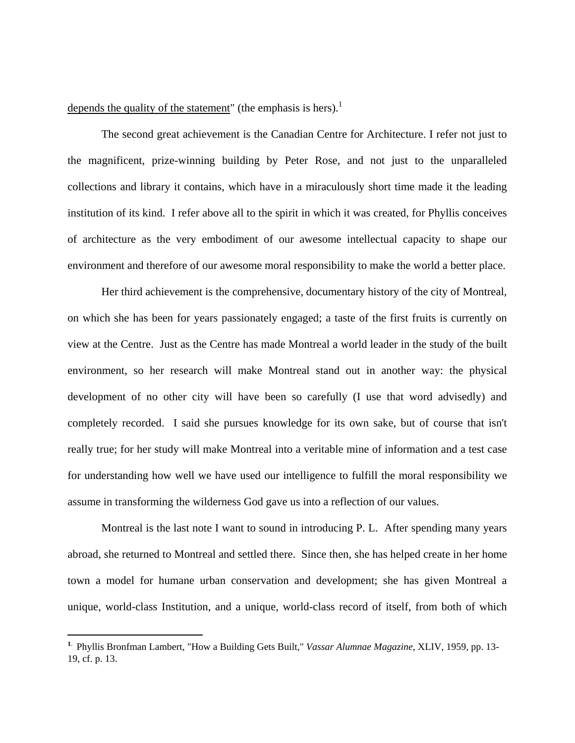depends the quality of the statement" (the emphasis is hers).<sup>1</sup>

 The second great achievement is the Canadian Centre for Architecture. I refer not just to the magnificent, prize-winning building by Peter Rose, and not just to the unparalleled collections and library it contains, which have in a miraculously short time made it the leading institution of its kind. I refer above all to the spirit in which it was created, for Phyllis conceives of architecture as the very embodiment of our awesome intellectual capacity to shape our environment and therefore of our awesome moral responsibility to make the world a better place.

 Her third achievement is the comprehensive, documentary history of the city of Montreal, on which she has been for years passionately engaged; a taste of the first fruits is currently on view at the Centre. Just as the Centre has made Montreal a world leader in the study of the built environment, so her research will make Montreal stand out in another way: the physical development of no other city will have been so carefully (I use that word advisedly) and completely recorded. I said she pursues knowledge for its own sake, but of course that isn't really true; for her study will make Montreal into a veritable mine of information and a test case for understanding how well we have used our intelligence to fulfill the moral responsibility we assume in transforming the wilderness God gave us into a reflection of our values.

 Montreal is the last note I want to sound in introducing P. L. After spending many years abroad, she returned to Montreal and settled there. Since then, she has helped create in her home town a model for humane urban conservation and development; she has given Montreal a unique, world-class Institution, and a unique, world-class record of itself, from both of which

i

**<sup>1</sup>**. Phyllis Bronfman Lambert, "How a Building Gets Built," *Vassar Alumnae Magazine*, XLIV, 1959, pp. 13- 19, cf. p. 13.